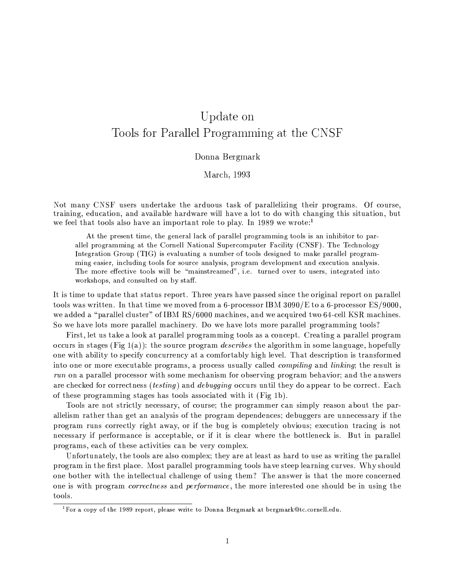# Update on Tools for Parallel Programming at the CNSF

### Donna Bergmark

### March, 1993

Not many CNSF users undertake the arduous task of parallelizing their programs. Of course, training, education, and available hardware will have a lot to do with changing this situation, but we feel that tools also have an important role to play. In 1989 we wrote:

At the present time, the general lack of parallel programming tools is an inhibitor to parallel programming at the Cornell National Supercomputer Facility (CNSF). The Technology Integration Group (TIG) is evaluating a number of tools designed to make parallel programming easier, including tools for source analysis, program development and execution analysis. The more effective tools will be "mainstreamed", i.e. turned over to users, integrated into workshops, and consulted on by staff.

It is time to update that status report. Three years have passed since the original report on parallel tools was written. In that time we moved from a 6-processor IBM  $3090/E$  to a 6-processor ES/9000, we added a "parallel cluster" of IBM RS/6000 machines, and we acquired two 64-cell KSR machines. So we have lots more parallel machinery. Do we have lots more parallel programming tools?

First, let us take a look at parallel programming tools as a concept. Creating a parallel program occurs in stages (Fig 1(a)): the source program *describes* the algorithm in some language, hopefully one with ability to specify concurrency at a comfortably high level. That description is transformed into one or more executable programs, a process usually called *compiling* and *linking*; the result is run on a parallel processor with some mechanism for observing program behavior; and the answers are checked for correctness (*testing*) and *debugging* occurs until they do appear to be correct. Each of these programming stages has tools associated with it (Fig 1b).

Tools are not strictly necessary, of course; the programmer can simply reason about the parallelism rather than get an analysis of the program dependences; debuggers are unnecessary if the program runs correctly right away, or if the bug is completely obvious; execution tracing is not necessary if performance is acceptable, or if it is clear where the bottleneck is. But in parallel programs, each of these activities can be very complex.

Unfortunately, the tools are also complex; they are at least as hard to use as writing the parallel program in the first place. Most parallel programming tools have steep learning curves. Why should one bother with the intellectual challenge of using them? The answer is that the more concerned one is with program *correctness* and *performance*, the more interested one should be in using the tools.

<sup>&</sup>lt;sup>1</sup>For a copy of the 1989 report, please write to Donna Bergmark at bergmark@tc.cornell.edu.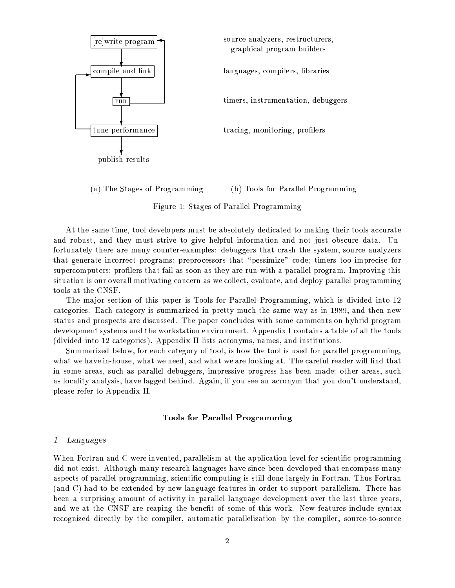

(a) The Stages of Programming (b) Tools for Parallel Programming

Figure 1: Stages of Parallel Programming

At the same time, tool developers must be absolutely dedicated to making their tools accurate and robust, and they must strive to give helpful information and not just obscure data. Unfortunately there are many counter-examples: debuggers that crash the system, source analyzers that generate incorrect programs; preprocessors that "pessimize" code; timers too imprecise for supercomputers; profilers that fail as soon as they are run with a parallel program. Improving this situation is our overall motivating concern as we collect, evaluate, and deploy parallel programming tools at the CNSF.

The major section of this paper is Tools for Parallel Programming, which is divided into 12 categories. Each category is summarized in pretty much the same way as in 1989, and then new status and prospects are discussed. The paper concludes with some comments on hybrid program development systems and the workstation environment. Appendix I contains a table of all the tools (divided into 12 categories). Appendix II lists acronyms, names, and institutions.

Summarized below, for each category of tool, is how the tool is used for parallel programming, what we have in-house, what we need, and what we are looking at. The careful reader will find that in some areas, such as parallel debuggers, impressive progress has been made; other areas, such as locality analysis, have lagged behind. Again, if you see an acronym that you don't understand, please refer to Appendix II.

### Tools for Parallel Programming

#### $\perp$ Languages

When Fortran and C were invented, parallelism at the application level for scientific programming did not exist. Although many research languages have since been developed that encompass many aspects of parallel programming, scientific computing is still done largely in Fortran. Thus Fortran (and C) had to be extended by new language features in order to support parallelism. There has been a surprising amount of activity in parallel language development over the last three years, and we at the CNSF are reaping the benefit of some of this work. New features include syntax recognized directly by the compiler, automatic parallelization by the compiler, source-to-source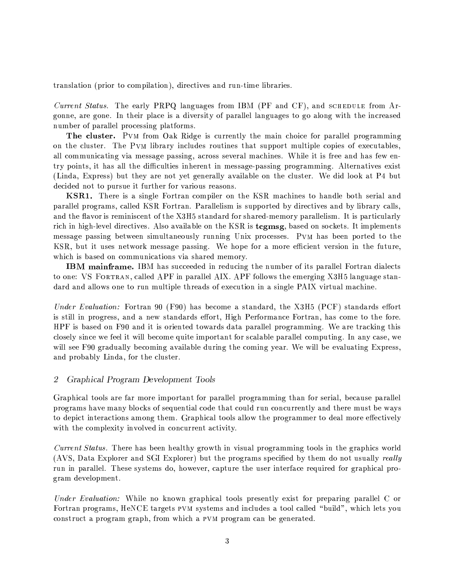translation (prior to compilation), directives and run-time libraries.

Current Status. The early PRPQ languages from IBM (PF and CF), and SCHEDULE from Argonne, are gone. In their place is a diversity of parallel languages to go along with the increased number of parallel processing platforms.

**The cluster.** PVM from Oak Ridge is currently the main choice for parallel programming on the cluster. The PVM library includes routines that support multiple copies of executables, all communicating via message passing, across several machines. While it is free and has few entry points, it has all the difficulties inherent in message-passing programming. Alternatives exist (Linda, Express) but they are not yet generally available on the cluster. We did look at P4 but decided not to pursue it further for various reasons.

**KSR1.** There is a single Fortran compiler on the KSR machines to handle both serial and parallel programs, called KSR Fortran. Parallelism is supported by directives and by library calls, and the flavor is reminiscent of the X3H5 standard for shared-memory parallelism. It is particularly rich in high-level directives. Also available on the KSR is tegmsg, based on sockets. It implements message passing between simultaneously running Unix processes. PVM has been ported to the KSR, but it uses network message passing. We hope for a more efficient version in the future, which is based on communications via shared memory.

**IBM mainframe.** IBM has succeeded in reducing the number of its parallel Fortran dialects to one: VS FORTRAN, called APF in parallel AIX. APF follows the emerging X3H5 language standard and allows one to run multiple threads of execution in a single PAIX virtual machine.

Under Evaluation: Fortran 90 (F90) has become a standard, the X3H5 (PCF) standards effort is still in progress, and a new standards effort, High Performance Fortran, has come to the fore. HPF is based on F90 and it is oriented towards data parallel programming. We are tracking this closely since we feel it will become quite important for scalable parallel computing. In any case, we will see F90 gradually becoming available during the coming year. We will be evaluating Express, and probably Linda, for the cluster.

### Graphical Program Development Tools  $\overline{2}$

Graphical tools are far more important for parallel programming than for serial, because parallel programs have many blocks of sequential code that could run concurrently and there must be ways to depict interactions among them. Graphical tools allow the programmer to deal more effectively with the complexity involved in concurrent activity.

*Current Status.* There has been healthy growth in visual programming tools in the graphics world (AVS, Data Explorer and SGI Explorer) but the programs specified by them do not usually really run in parallel. These systems do, however, capture the user interface required for graphical program development.

*Under Evaluation:* While no known graphical tools presently exist for preparing parallel C or Fortran programs, HeNCE targets PVM systems and includes a tool called "build", which lets you construct a program graph, from which a PVM program can be generated.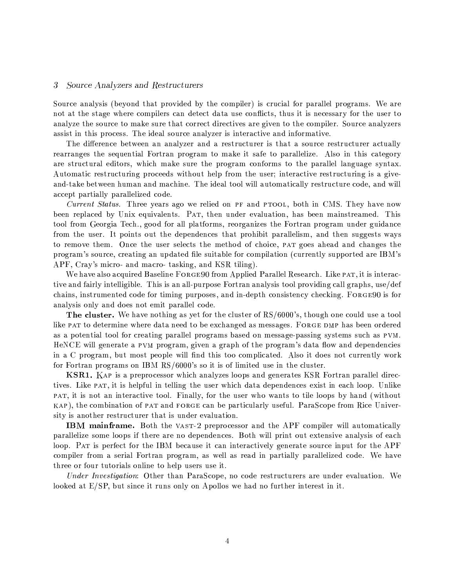#### 3 Source Analyzers and Restructurers

Source analysis (beyond that provided by the compiler) is crucial for parallel programs. We are not at the stage where compilers can detect data use conflicts, thus it is necessary for the user to analyze the source to make sure that correct directives are given to the compiler. Source analyzers assist in this process. The ideal source analyzer is interactive and informative.

The difference between an analyzer and a restructurer is that a source restructurer actually rearranges the sequential Fortran program to make it safe to parallelize. Also in this category are structural editors, which make sure the program conforms to the parallel language syntax. Automatic restructuring proceeds without help from the user; interactive restructuring is a giveand-take between human and machine. The ideal tool will automatically restructure code, and will accept partially parallelized code.

Current Status. Three years ago we relied on PF and PTOOL, both in CMS. They have now been replaced by Unix equivalents. PAT, then under evaluation, has been mainstreamed. This tool from Georgia Tech., good for all platforms, reorganizes the Fortran program under guidance from the user. It points out the dependences that prohibit parallelism, and then suggests ways to remove them. Once the user selects the method of choice, PAT goes ahead and changes the program's source, creating an updated file suitable for compilation (currently supported are IBM's APF, Cray's micro- and macro- tasking, and KSR tiling).

We have also acquired Baseline F0RGE90 from Applied Parallel Research. Like PAT, it is interactive and fairly intelligible. This is an all-purpose Fortran analysis tool providing call graphs, use/def chains, instrumented code for timing purposes, and in-depth consistency checking. FORGE90 is for analysis only and does not emit parallel code.

**The cluster.** We have nothing as yet for the cluster of RS/6000's, though one could use a tool like PAT to determine where data need to be exchanged as messages. FORGE DMP has been ordered as a potential tool for creating parallel programs based on message-passing systems such as PVM. HeNCE will generate a PVM program, given a graph of the program's data flow and dependencies in a C program, but most people will find this too complicated. Also it does not currently work for Fortran programs on IBM RS/6000's so it is of limited use in the cluster.

KSR1. KAP is a preprocessor which analyzes loops and generates KSR Fortran parallel directives. Like PAT, it is helpful in telling the user which data dependences exist in each loop. Unlike PAT, it is not an interactive tool. Finally, for the user who wants to tile loops by hand (without KAP), the combination of PAT and FORGE can be particularly useful. ParaScope from Rice University is another restructurer that is under evaluation.

**IBM mainframe.** Both the VAST-2 preprocessor and the APF compiler will automatically parallelize some loops if there are no dependences. Both will print out extensive analysis of each loop. PAT is perfect for the IBM because it can interactively generate source input for the APF compiler from a serial Fortran program, as well as read in partially parallelized code. We have three or four tutorials online to help users use it.

Under Investigation: Other than ParaScope, no code restructurers are under evaluation. We looked at E/SP, but since it runs only on Apollos we had no further interest in it.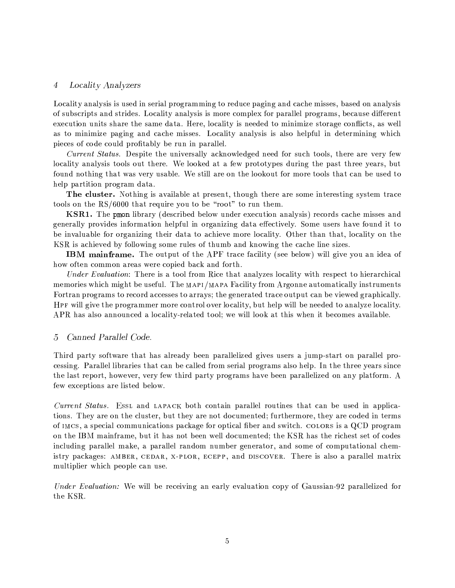#### $\overline{4}$ Locality Analyzers

Locality analysis is used in serial programming to reduce paging and cache misses, based on analysis of subscripts and strides. Locality analysis is more complex for parallel programs, because different execution units share the same data. Here, locality is needed to minimize storage conflicts, as well as to minimize paging and cache misses. Locality analysis is also helpful in determining which pieces of code could profitably be run in parallel.

Current Status. Despite the universally acknowledged need for such tools, there are very few locality analysis tools out there. We looked at a few prototypes during the past three years, but found nothing that was very usable. We still are on the lookout for more tools that can be used to help partition program data.

**The cluster.** Nothing is available at present, though there are some interesting system trace tools on the RS/6000 that require you to be "root" to run them.

**KSR1.** The pmon library (described below under execution analysis) records cache misses and generally provides information helpful in organizing data effectively. Some users have found it to be invaluable for organizing their data to achieve more locality. Other than that, locality on the KSR is achieved by following some rules of thumb and knowing the cache line sizes.

**IBM mainframe.** The output of the APF trace facility (see below) will give you an idea of how often common areas were copied back and forth.

Under Evaluation: There is a tool from Rice that analyzes locality with respect to hierarchical memories which might be useful. The MAPI/MAPA Facility from Argonne automatically instruments Fortran programs to record accesses to arrays; the generated trace output can be viewed graphically. HPF will give the programmer more control over locality, but help will be needed to analyze locality. APR has also announced a locality-related tool; we will look at this when it becomes available.

#### Canned Parallel Code. 5

Third party software that has already been parallelized gives users a jump-start on parallel processing. Parallel libraries that can be called from serial programs also help. In the three years since the last report, however, very few third party programs have been parallelized on any platform. A few exceptions are listed below.

Current Status. ESSL and LAPACK both contain parallel routines that can be used in applications. They are on the cluster, but they are not documented; furthermore, they are coded in terms of IMCS, a special communications package for optical fiber and switch. COLORS is a QCD program on the IBM mainframe, but it has not been well documented; the KSR has the richest set of codes including parallel make, a parallel random number generator, and some of computational chemistry packages: AMBER, CEDAR, X-PLOR, ECEPP, and DISCOVER. There is also a parallel matrix multiplier which people can use.

Under Evaluation: We will be receiving an early evaluation copy of Gaussian-92 parallelized for the KSR.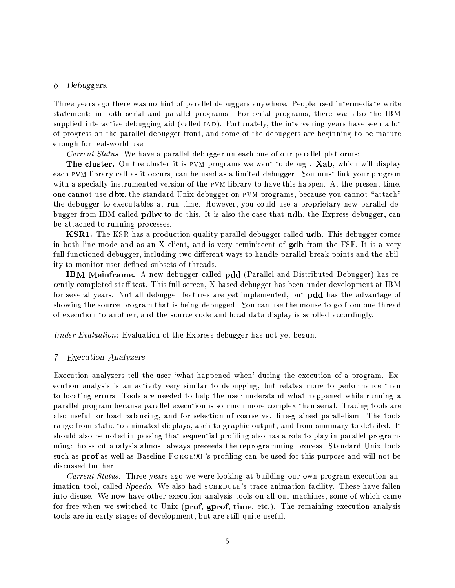#### 6 Debuggers.

Three years ago there was no hint of parallel debuggers anywhere. People used intermediate write statements in both serial and parallel programs. For serial programs, there was also the IBM supplied interactive debugging aid (called IAD). Fortunately, the intervening years have seen a lot of progress on the parallel debugger front, and some of the debuggers are beginning to be mature enough for real-world use.

*Current Status.* We have a parallel debugger on each one of our parallel platforms:

**The cluster.** On the cluster it is PVM programs we want to debug. **Xab**, which will display each PVM library call as it occurs, can be used as a limited debugger. You must link your program with a specially instrumented version of the PVM library to have this happen. At the present time, one cannot use dbx, the standard Unix debugger on PVM programs, because you cannot "attach" the debugger to executables at run time. However, you could use a proprietary new parallel debugger from IBM called **pdbx** to do this. It is also the case that **ndb**, the Express debugger, can be attached to running processes.

**KSR1.** The KSR has a production-quality parallel debugger called **udb**. This debugger comes in both line mode and as an X client, and is very reminiscent of gdb from the FSF. It is a very full-functioned debugger, including two different ways to handle parallel break-points and the ability to monitor user-defined subsets of threads.

**IBM Mainframe.** A new debugger called **pdd** (Parallel and Distributed Debugger) has recently completed staff test. This full-screen, X-based debugger has been under development at IBM for several years. Not all debugger features are yet implemented, but **pdd** has the advantage of showing the source program that is being debugged. You can use the mouse to go from one thread of execution to another, and the source code and local data display is scrolled accordingly.

Under Evaluation: Evaluation of the Express debugger has not yet begun.

#### Execution Analyzers.  $7^{\circ}$

Execution analyzers tell the user 'what happened when' during the execution of a program. Execution analysis is an activity very similar to debugging, but relates more to performance than to locating errors. Tools are needed to help the user understand what happened while running a parallel program because parallel execution is so much more complex than serial. Tracing tools are also useful for load balancing, and for selection of coarse vs. fine-grained parallelism. The tools range from static to animated displays, ascii to graphic output, and from summary to detailed. It should also be noted in passing that sequential profiling also has a role to play in parallel programming: hot-spot analysis almost always preceeds the reprogramming process. Standard Unix tools such as **prof** as well as Baseline FORGE90 's profiling can be used for this purpose and will not be discussed further.

*Current Status.* Three years ago we were looking at building our own program execution animation tool, called *Speedo*. We also had SCHEDULE's trace animation facility. These have fallen into disuse. We now have other execution analysis tools on all our machines, some of which came for free when we switched to Unix (prof, gprof, time, etc.). The remaining execution analysis tools are in early stages of development, but are still quite useful.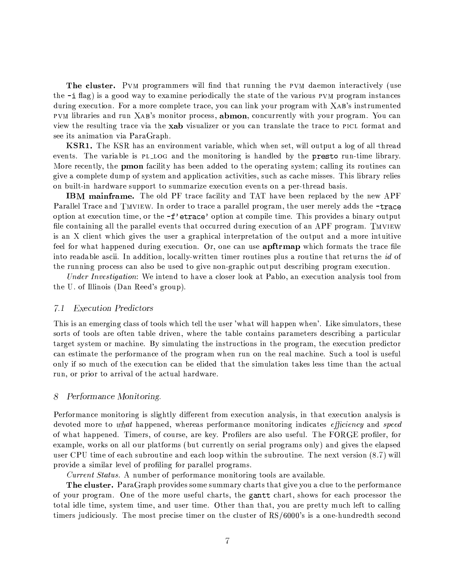**The cluster.** PVM programmers will find that running the PVM daemon interactively (use the  $-i$  flag) is a good way to examine periodically the state of the various PVM program instances during execution. For a more complete trace, you can link your program with XAB's instrumented PVM libraries and run XAB's monitor process, abmon, concurrently with your program. You can view the resulting trace via the xab visualizer or you can translate the trace to PICL format and see its animation via ParaGraph.

**KSR1.** The KSR has an environment variable, which when set, will output a log of all thread events. The variable is PL\_LOG and the monitoring is handled by the presto run-time library. More recently, the **pmon** facility has been added to the operating system; calling its routines can give a complete dump of system and application activities, such as cache misses. This library relies on built-in hardware support to summarize execution events on a per-thread basis.

**IBM mainframe.** The old PF trace facility and TAT have been replaced by the new APF Parallel Trace and TMVIEW. In order to trace a parallel program, the user merely adds the -trace option at execution time, or the -f'etrace' option at compile time. This provides a binary output file containing all the parallel events that occurred during execution of an APF program. TMVIEW is an X client which gives the user a graphical interpretation of the output and a more intuitive feel for what happened during execution. Or, one can use **apftrmap** which formats the trace file into readable ascii. In addition, locally-written timer routines plus a routine that returns the id of the running process can also be used to give non-graphic output describing program execution.

*Under Investigation*: We intend to have a closer look at Pablo, an execution analysis tool from the U. of Illinois (Dan Reed's group).

#### $7.1$ **Execution Predictors**

This is an emerging class of tools which tell the user 'what will happen when'. Like simulators, these sorts of tools are often table driven, where the table contains parameters describing a particular target system or machine. By simulating the instructions in the program, the execution predictor can estimate the performance of the program when run on the real machine. Such a tool is useful only if so much of the execution can be elided that the simulation takes less time than the actual run, or prior to arrival of the actual hardware.

### Performance Monitoring. 8

Performance monitoring is slightly different from execution analysis, in that execution analysis is devoted more to what happened, whereas performance monitoring indicates efficiency and speed of what happened. Timers, of course, are key. Profilers are also useful. The FORGE profiler, for example, works on all our platforms (but currently on serial programs only) and gives the elapsed user CPU time of each subroutine and each loop within the subroutine. The next version (8.7) will provide a similar level of profiling for parallel programs.

*Current Status.* A number of performance monitoring tools are available.

**The cluster.** ParaGraph provides some summary charts that give you a clue to the performance of your program. One of the more useful charts, the gant chart, shows for each processor the total idle time, system time, and user time. Other than that, you are pretty much left to calling timers judiciously. The most precise timer on the cluster of RS/6000's is a one-hundredth second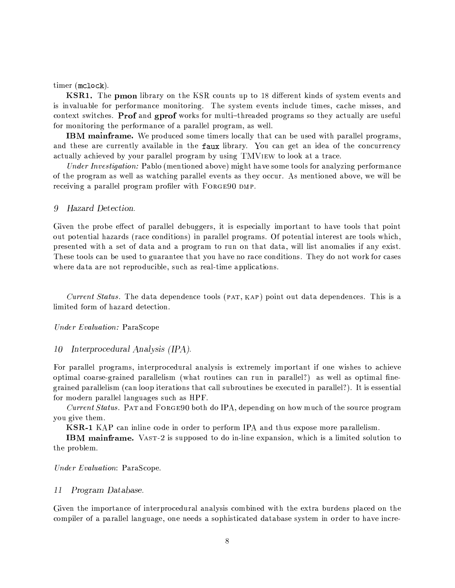timer (mclock).

**KSR1.** The **pmon** library on the KSR counts up to 18 different kinds of system events and is invaluable for performance monitoring. The system events include times, cache misses, and context switches. Prof and gprof works for multi-threaded programs so they actually are useful for monitoring the performance of a parallel program, as well.

**IBM mainframe.** We produced some timers locally that can be used with parallel programs, and these are currently available in the faux library. You can get an idea of the concurrency actually achieved by your parallel program by using TMVIEW to look at a trace.

*Under Investigation:* Pablo (mentioned above) might have some tools for analyzing performance of the program as well as watching parallel events as they occur. As mentioned above, we will be receiving a parallel program profiler with FORGE90 DMP.

### Hazard Detection. 9

Given the probe effect of parallel debuggers, it is especially important to have tools that point out potential hazards (race conditions) in parallel programs. Of potential interest are tools which, presented with a set of data and a program to run on that data, will list anomalies if any exist. These tools can be used to guarantee that you have no race conditions. They do not work for cases where data are not reproducible, such as real-time applications.

Current Status. The data dependence tools (PAT, KAP) point out data dependences. This is a limited form of hazard detection.

### Under Evaluation: ParaScope

#### Interprocedural Analysis (IPA). 10

For parallel programs, interprocedural analysis is extremely important if one wishes to achieve optimal coarse-grained parallelism (what routines can run in parallel?) as well as optimal finegrained parallelism (can loop iterations that call subroutines be executed in parallel?). It is essential for modern parallel languages such as HPF.

Current Status. PAT and FORGE90 both do IPA, depending on how much of the source program you give them.

KSR-1 KAP can inline code in order to perform IPA and thus expose more parallelism.

**IBM mainframe.** VAST-2 is supposed to do in-line expansion, which is a limited solution to the problem.

### Under Evaluation: ParaScope.

#### Program Database. 11

Given the importance of interprocedural analysis combined with the extra burdens placed on the compiler of a parallel language, one needs a sophisticated database system in order to have incre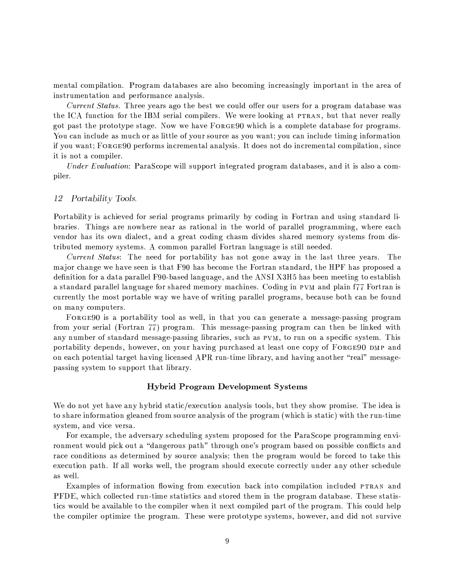mental compilation. Program databases are also becoming increasingly important in the area of instrumentation and performance analysis.

Current Status. Three years ago the best we could offer our users for a program database was the ICA function for the IBM serial compilers. We were looking at PTRAN, but that never really got past the prototype stage. Now we have FORGE90 which is a complete database for programs. You can include as much or as little of your source as you want; you can include timing information if you want; FORGE90 performs incremental analysis. It does not do incremental compilation, since it is not a compiler.

*Under Evaluation*: ParaScope will support integrated program databases, and it is also a compiler.

#### 12 Portability Tools.

Portability is achieved for serial programs primarily by coding in Fortran and using standard libraries. Things are nowhere near as rational in the world of parallel programming, where each vendor has its own dialect, and a great coding chasm divides shared memory systems from distributed memory systems. A common parallel Fortran language is still needed.

Current Status: The need for portability has not gone away in the last three years. The major change we have seen is that F90 has become the Fortran standard, the HPF has proposed a definition for a data parallel F90-based language, and the ANSI X3H5 has been meeting to establish a standard parallel language for shared memory machines. Coding in PVM and plain f77 Fortran is currently the most portable way we have of writing parallel programs, because both can be found on many computers.

FORGE90 is a portability tool as well, in that you can generate a message-passing program from your serial (Fortran 77) program. This message-passing program can then be linked with any number of standard message-passing libraries, such as PVM, to run on a specific system. This portability depends, however, on your having purchased at least one copy of FORGE90 DMP and on each potential target having licensed APR run-time library, and having another "real" messagepassing system to support that library.

### **Hybrid Program Development Systems**

We do not yet have any hybrid static/execution analysis tools, but they show promise. The idea is to share information gleaned from source analysis of the program (which is static) with the run-time system, and vice versa.

For example, the adversary scheduling system proposed for the ParaScope programming environment would pick out a "dangerous path" through one's program based on possible conflicts and race conditions as determined by source analysis; then the program would be forced to take this execution path. If all works well, the program should execute correctly under any other schedule as well.

Examples of information flowing from execution back into compilation included PTRAN and PFDE, which collected run-time statistics and stored them in the program database. These statistics would be available to the compiler when it next compiled part of the program. This could help the compiler optimize the program. These were prototype systems, however, and did not survive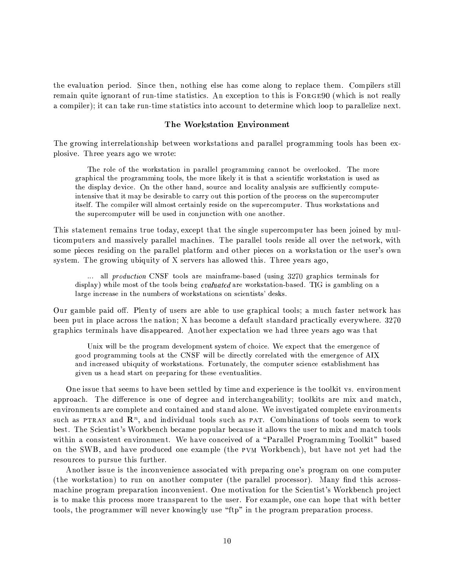the evaluation period. Since then, nothing else has come along to replace them. Compilers still remain quite ignorant of run-time statistics. An exception to this is FORGE90 (which is not really a compiler); it can take run-time statistics into account to determine which loop to parallelize next.

### The Workstation Environment

The growing interrelationship between workstations and parallel programming tools has been explosive. Three years ago we wrote:

The role of the workstation in parallel programming cannot be overlooked. The more graphical the programming tools, the more likely it is that a scientific workstation is used as the display device. On the other hand, source and locality analysis are sufficiently computeintensive that it may be desirable to carry out this portion of the process on the supercomputer itself. The compiler will almost certainly reside on the supercomputer. Thus workstations and the supercomputer will be used in conjunction with one another.

This statement remains true today, except that the single supercomputer has been joined by multicomputers and massively parallel machines. The parallel tools reside all over the network, with some pieces residing on the parallel platform and other pieces on a workstation or the user's own system. The growing ubiquity of X servers has allowed this. Three years ago,

... all *production* CNSF tools are mainframe-based (using 3270 graphics terminals for display) while most of the tools being *evaluated* are workstation-based. TIG is gambling on a large increase in the numbers of workstations on scientists' desks.

Our gamble paid off. Plenty of users are able to use graphical tools; a much faster network has been put in place across the nation; X has become a default standard practically everywhere. 3270 graphics terminals have disappeared. Another expectation we had three years ago was that

Unix will be the program development system of choice. We expect that the emergence of good programming tools at the CNSF will be directly correlated with the emergence of AIX and increased ubiquity of workstations. Fortunately, the computer science establishment has given us a head start on preparing for these eventualities.

One issue that seems to have been settled by time and experience is the toolkit vs. environment approach. The difference is one of degree and interchangeability; toolkits are mix and match, environments are complete and contained and stand alone. We investigated complete environments such as PTRAN and  $\mathbb{R}^n$ , and individual tools such as PAT. Combinations of tools seem to work best. The Scientist's Workbench became popular because it allows the user to mix and match tools within a consistent environment. We have conceived of a "Parallel Programming Toolkit" based on the SWB, and have produced one example (the PVM Workbench), but have not yet had the resources to pursue this further.

Another issue is the inconvenience associated with preparing one's program on one computer (the workstation) to run on another computer (the parallel processor). Many find this acrossmachine program preparation inconvenient. One motivation for the Scientist's Workbench project is to make this process more transparent to the user. For example, one can hope that with better tools, the programmer will never knowingly use "ftp" in the program preparation process.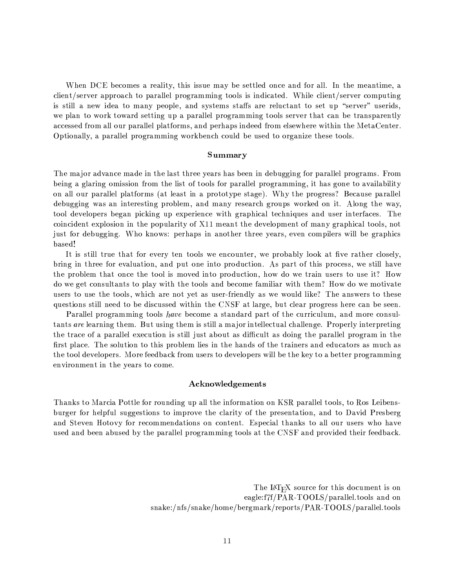When DCE becomes a reality, this issue may be settled once and for all. In the meantime, a client/server approach to parallel programming tools is indicated. While client/server computing is still a new idea to many people, and systems staffs are reluctant to set up "server" userids, we plan to work toward setting up a parallel programming tools server that can be transparently accessed from all our parallel platforms, and perhaps indeed from elsewhere within the MetaCenter. Optionally, a parallel programming workbench could be used to organize these tools.

### Summary

The major advance made in the last three years has been in debugging for parallel programs. From being a glaring omission from the list of tools for parallel programming, it has gone to availability on all our parallel platforms (at least in a prototype stage). Why the progress? Because parallel debugging was an interesting problem, and many research groups worked on it. Along the way, tool developers began picking up experience with graphical techniques and user interfaces. The coincident explosion in the popularity of X11 meant the development of many graphical tools, not just for debugging. Who knows: perhaps in another three years, even compilers will be graphics based!

It is still true that for every ten tools we encounter, we probably look at five rather closely, bring in three for evaluation, and put one into production. As part of this process, we still have the problem that once the tool is moved into production, how do we train users to use it? How do we get consultants to play with the tools and become familiar with them? How do we motivate users to use the tools, which are not yet as user-friendly as we would like? The answers to these questions still need to be discussed within the CNSF at large, but clear progress here can be seen.

Parallel programming tools have become a standard part of the curriculum, and more consultants are learning them. But using them is still a major intellectual challenge. Properly interpreting the trace of a parallel execution is still just about as difficult as doing the parallel program in the first place. The solution to this problem lies in the hands of the trainers and educators as much as the tool developers. More feedback from users to developers will be the key to a better programming environment in the years to come.

### Acknowledgements

Thanks to Marcia Pottle for rounding up all the information on KSR parallel tools, to Ros Leibensburger for helpful suggestions to improve the clarity of the presentation, and to David Presberg and Steven Hotovy for recommendations on content. Especial thanks to all our users who have used and been abused by the parallel programming tools at the CNSF and provided their feedback.

> The IAT<sub>F</sub>X source for this document is on eagle:f7f/PAR-TOOLS/parallel.tools and on snake:/nfs/snake/home/bergmark/reports/PAR-TOOLS/parallel.tools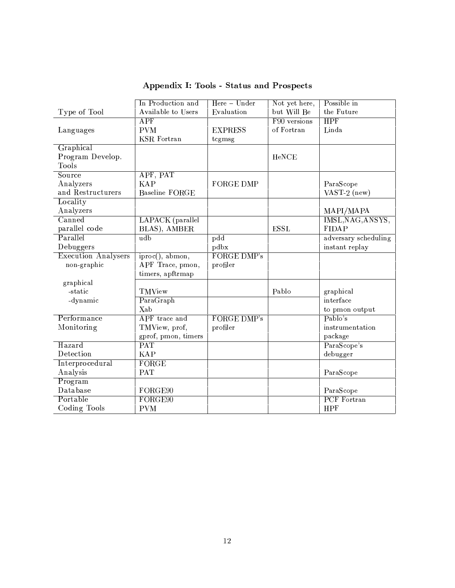|                            | In Production and       | Here - Under       | Not yet here, | Possible in          |
|----------------------------|-------------------------|--------------------|---------------|----------------------|
| Type of Tool               | Available to Users      | Evaluation         | but Will Be   | the Future           |
|                            | APF                     |                    | F90 versions  | <b>HPF</b>           |
| Languages                  | <b>PVM</b>              | <b>EXPRESS</b>     | of Fortran    | Linda                |
|                            | <b>KSR</b> Fortran      | tcgmsg             |               |                      |
| Graphical                  |                         |                    |               |                      |
| Program Develop.           |                         |                    | HeNCE         |                      |
| Tools                      |                         |                    |               |                      |
| Source                     | APF, PAT                |                    |               |                      |
| Analyzers                  | <b>KAP</b>              | <b>FORGE DMP</b>   |               | ParaScope            |
| and Restructurers          | Baseline FORGE          |                    |               | VAST-2 $(new)$       |
| Locality                   |                         |                    |               |                      |
| Analyzers                  |                         |                    |               | MAPI/MAPA            |
| Canned                     | <b>LAPACK</b> (parallel |                    |               | IMSL, NAG, ANSYS,    |
| parallel code              | BLAS), AMBER            |                    | <b>ESSL</b>   | <b>FIDAP</b>         |
| Parallel                   | udb                     | pdd                |               | adversary scheduling |
|                            |                         | pdbx               |               |                      |
| Debuggers                  |                         | <b>FORGE DMP's</b> |               | instant replay       |
| <b>Execution Analysers</b> | iproc(), abmon,         |                    |               |                      |
| non-graphic                | APF Trace, pmon,        | profiler           |               |                      |
|                            | timers, apftrmap        |                    |               |                      |
| graphical                  |                         |                    |               |                      |
| -static                    | TMView                  |                    | Pablo         | graphical            |
| -dynamic                   | ParaGraph               |                    |               | interface            |
|                            | Xab                     |                    |               | to pmon output       |
| Performance                | APF trace and           | <b>FORGE DMP's</b> |               | Pablo's              |
| Monitoring                 | TMView, prof,           | profiler           |               | instrumentation      |
|                            | gprof, pmon, timers     |                    |               | package              |
| Hazard                     | <b>PAT</b>              |                    |               | ParaScope's          |
| Detection                  | <b>KAP</b>              |                    |               | debugger             |
| Interprocedural            | FORGE                   |                    |               |                      |
| Analysis                   | <b>PAT</b>              |                    |               | ParaScope            |
| Program                    |                         |                    |               |                      |
| Database                   | FORGE90                 |                    |               | ParaScope            |
| Portable                   | FORGE90                 |                    |               | <b>PCF</b> Fortran   |
| Coding Tools               | <b>PVM</b>              |                    |               | <b>HPF</b>           |

Appendix I: Tools - Status and Prospects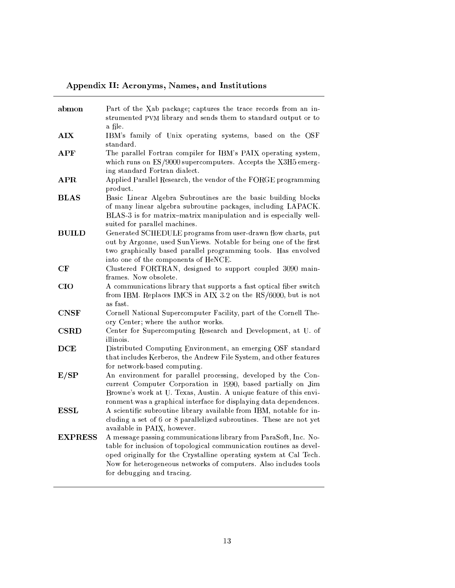Appendix II: Acronyms, Names, and Institutions

| abmon          | Part of the Xab package; captures the trace records from an in-<br>strumented PVM library and sends them to standard output or to<br>a file.                                                                                                                                                                   |
|----------------|----------------------------------------------------------------------------------------------------------------------------------------------------------------------------------------------------------------------------------------------------------------------------------------------------------------|
| $\bf AIX$      | IBM's family of Unix operating systems, based on the OSF<br>standard.                                                                                                                                                                                                                                          |
| $\bf{APF}$     | The parallel Fortran compiler for IBM's PAIX operating system,<br>which runs on ES/9000 supercomputers. Accepts the X3H5 emerg-<br>ing standard Fortran dialect.                                                                                                                                               |
| APR            | Applied Parallel Research, the vendor of the FORGE programming<br>product.                                                                                                                                                                                                                                     |
| <b>BLAS</b>    | Basic Linear Algebra Subroutines are the basic building blocks<br>of many linear algebra subroutine packages, including LAPACK.<br>BLAS-3 is for matrix-matrix manipulation and is especially well-<br>suited for parallel machines.                                                                           |
| <b>BUILD</b>   | Generated SCHEDULE programs from user-drawn flow charts, put<br>out by Argonne, used SunViews. Notable for being one of the first<br>two graphically based parallel programming tools. Has envolved<br>into one of the components of HeNCE.                                                                    |
| CF             | Clustered FORTRAN, designed to support coupled 3090 main-<br>frames. Now obsolete.                                                                                                                                                                                                                             |
| <b>CIO</b>     | A communications library that supports a fast optical fiber switch<br>from IBM. Replaces IMCS in AIX 3.2 on the RS/6000, but is not<br>as fast.                                                                                                                                                                |
| <b>CNSF</b>    | Cornell National Supercomputer Facility, part of the Cornell The-<br>ory Center; where the author works.                                                                                                                                                                                                       |
| <b>CSRD</b>    | Center for Supercomputing Research and Development, at U. of<br>illinois.                                                                                                                                                                                                                                      |
| <b>DCE</b>     | Distributed Computing Environment, an emerging OSF standard<br>that includes Kerberos, the Andrew File System, and other features<br>for network-based computing.                                                                                                                                              |
| E/SP           | An environment for parallel processing, developed by the Con-<br>current Computer Corporation in 1990, based partially on Jim<br>Browne's work at U. Texas, Austin. A unique feature of this envi-<br>ronment was a graphical interface for displaying data dependences.                                       |
| <b>ESSL</b>    | A scientific subroutine library available from IBM, notable for in-<br>cluding a set of 6 or 8 parallelized subroutines. These are not yet<br>available in PAIX, however.                                                                                                                                      |
| <b>EXPRESS</b> | A message passing communications library from ParaSoft, Inc. No-<br>table for inclusion of topological communication routines as devel-<br>oped originally for the Crystalline operating system at Cal Tech.<br>Now for heterogeneous networks of computers. Also includes tools<br>for debugging and tracing. |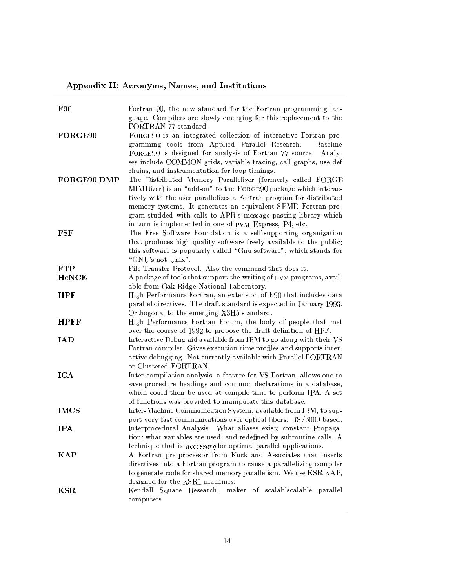| <b>F90</b>         | Fortran 90, the new standard for the Fortran programming lan-<br>guage. Compilers are slowly emerging for this replacement to the                                                                                                                                                                                                                            |
|--------------------|--------------------------------------------------------------------------------------------------------------------------------------------------------------------------------------------------------------------------------------------------------------------------------------------------------------------------------------------------------------|
| FORGE90            | FORTRAN 77 standard.<br>FORGE90 is an integrated collection of interactive Fortran pro-<br>gramming tools from Applied Parallel Research.<br><b>Baseline</b><br>FORGE90 is designed for analysis of Fortran 77 source. Analy-<br>ses include COMMON grids, variable tracing, call graphs, use-def                                                            |
| <b>FORGE90 DMP</b> | chains, and instrumentation for loop timings.<br>The Distributed Memory Parallelizer (formerly called FORGE<br>MIMDizer) is an "add-on" to the FORGE90 package which interac-<br>tively with the user parallelizes a Fortran program for distributed<br>memory systems. It generates an equivalent SPMD Fortran pro-                                         |
| $_{\rm FSF}$       | gram studded with calls to APR's message passing library which<br>in turn is implemented in one of PVM Express, P4, etc.<br>The Free Software Foundation is a self-supporting organization<br>that produces high-quality software freely available to the public;<br>this software is popularly called "Gnu software", which stands for<br>"GNU's not Unix". |
| $\bf{FTP}$         | File Transfer Protocol. Also the command that does it.                                                                                                                                                                                                                                                                                                       |
| <b>HeNCE</b>       | A package of tools that support the writing of PVM programs, avail-                                                                                                                                                                                                                                                                                          |
|                    | able from Oak Ridge National Laboratory.                                                                                                                                                                                                                                                                                                                     |
| <b>HPF</b>         | High Performance Fortran, an extension of F90 that includes data                                                                                                                                                                                                                                                                                             |
|                    | parallel directives. The draft standard is expected in January 1993.                                                                                                                                                                                                                                                                                         |
|                    | Orthogonal to the emerging X3H5 standard.                                                                                                                                                                                                                                                                                                                    |
| <b>HPFF</b>        | High Performance Fortran Forum, the body of people that met                                                                                                                                                                                                                                                                                                  |
|                    | over the course of 1992 to propose the draft definition of HPF.                                                                                                                                                                                                                                                                                              |
| IAD                | Interactive Debug aid available from IBM to go along with their VS                                                                                                                                                                                                                                                                                           |
|                    | Fortran compiler. Gives execution time profiles and supports inter-                                                                                                                                                                                                                                                                                          |
|                    | active debugging. Not currently available with Parallel FORTRAN                                                                                                                                                                                                                                                                                              |
|                    | or Clustered FORTRAN.                                                                                                                                                                                                                                                                                                                                        |
| <b>ICA</b>         | Inter-compilation analysis, a feature for VS Fortran, allows one to<br>save procedure headings and common declarations in a database,<br>which could then be used at compile time to perform IPA. A set                                                                                                                                                      |
|                    | of functions was provided to manipulate this database.                                                                                                                                                                                                                                                                                                       |
| <b>IMCS</b>        | Inter-Machine Communication System, available from IBM, to sup-                                                                                                                                                                                                                                                                                              |
| <b>IPA</b>         | port very fast communications over optical fibers. RS/6000 based.<br>Interprocedural Analysis. What aliases exist; constant Propaga-                                                                                                                                                                                                                         |
|                    | tion; what variables are used, and redefined by subroutine calls. A                                                                                                                                                                                                                                                                                          |
|                    | technique that is <i>necessary</i> for optimal parallel applications.                                                                                                                                                                                                                                                                                        |
| <b>KAP</b>         | A Fortran pre-processor from Kuck and Associates that inserts                                                                                                                                                                                                                                                                                                |
|                    | directives into a Fortran program to cause a parallelizing compiler                                                                                                                                                                                                                                                                                          |
|                    | to generate code for shared memory parallelism. We use KSR KAP,                                                                                                                                                                                                                                                                                              |
|                    | designed for the KSR1 machines.                                                                                                                                                                                                                                                                                                                              |
| KSR.               | Kendall Square Research, maker of scalablscalable parallel                                                                                                                                                                                                                                                                                                   |
|                    | computers.                                                                                                                                                                                                                                                                                                                                                   |
|                    |                                                                                                                                                                                                                                                                                                                                                              |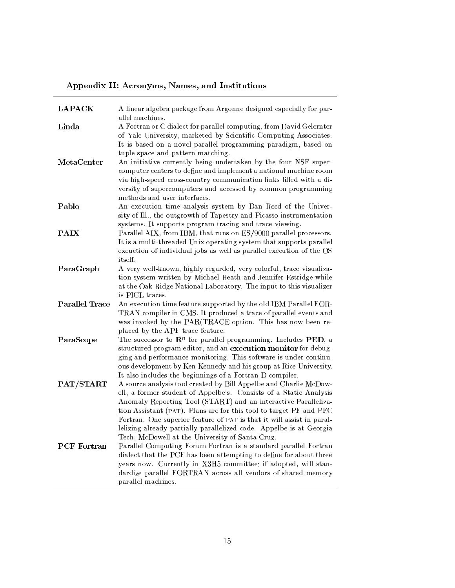| <b>LAPACK</b>         | A linear algebra package from Argonne designed especially for par-<br>allel machines.                                                                                                                                                                                                                                                                                                                                   |
|-----------------------|-------------------------------------------------------------------------------------------------------------------------------------------------------------------------------------------------------------------------------------------------------------------------------------------------------------------------------------------------------------------------------------------------------------------------|
| Linda                 | A Fortran or C dialect for parallel computing, from David Gelernter<br>of Yale University, marketed by Scientific Computing Associates.<br>It is based on a novel parallel programming paradigm, based on<br>tuple space and pattern matching.                                                                                                                                                                          |
| MetaCenter            | An initiative currently being undertaken by the four NSF super-<br>computer centers to define and implement a national machine room<br>via high-speed cross-country communication links filled with a di-<br>versity of supercomputers and accessed by common programming<br>methods and user interfaces.                                                                                                               |
| Pablo                 | An execution time analysis system by Dan Reed of the Univer-<br>sity of Ill., the outgrowth of Tapestry and Picasso instrumentation<br>systems. It supports program tracing and trace viewing.                                                                                                                                                                                                                          |
| PAIX                  | Parallel AIX, from IBM, that runs on ES/9000 parallel processors.<br>It is a multi-threaded Unix operating system that supports parallel<br>exeuction of individual jobs as well as parallel execution of the OS<br>itself.                                                                                                                                                                                             |
| ParaGraph             | A very well-known, highly regarded, very colorful, trace visualiza-<br>tion system written by Michael Heath and Jennifer Estridge while<br>at the Oak Ridge National Laboratory. The input to this visualizer<br>is PICL traces.                                                                                                                                                                                        |
| <b>Parallel Trace</b> | An execution time feature supported by the old IBM Parallel FOR-<br>TRAN compiler in CMS. It produced a trace of parallel events and<br>was invoked by the PAR(TRACE option. This has now been re-<br>placed by the APF trace feature.                                                                                                                                                                                  |
| ParaScope             | The successor to $\mathbb{R}^n$ for parallel programming. Includes PED, a<br>structured program editor, and an execution monitor for debug-<br>ging and performance monitoring. This software is under continu-<br>ous development by Ken Kennedy and his group at Rice University.<br>It also includes the beginnings of a Fortran D compiler.                                                                         |
| PAT/START             | A source analysis tool created by Bill Appelbe and Charlie McDow-<br>ell, a former student of Appelbe's. Consists of a Static Analysis<br>Anomaly Reporting Tool (START) and an interactive Paralleliza-<br>tion Assistant (PAT). Plans are for this tool to target PF and PFC<br>Fortran. One superior feature of PAT is that it will assist in paral-                                                                 |
| <b>PCF</b> Fortran    | lelizing already partially parallelized code. Appelbe is at Georgia<br>Tech, McDowell at the University of Santa Cruz.<br>Parallel Computing Forum Fortran is a standard parallel Fortran<br>dialect that the PCF has been attempting to define for about three<br>years now. Currently in X3H5 committee; if adopted, will stan-<br>dardize parallel FORTRAN across all vendors of shared memory<br>parallel machines. |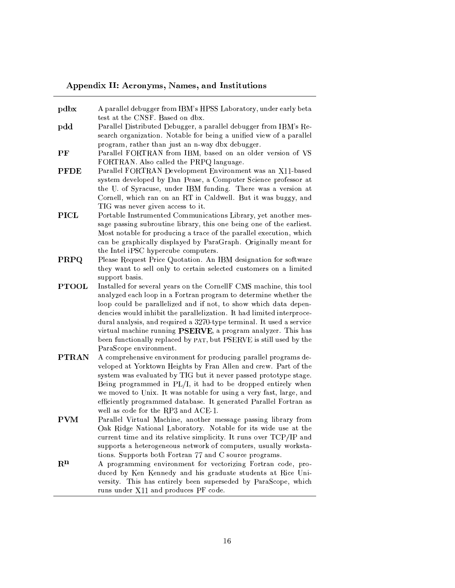- A parallel debugger from IBM's HPSS Laboratory, under early beta pdbx test at the CNSF. Based on dbx.
- Parallel Distributed Debugger, a parallel debugger from IBM's Re- $_{\rm pdd}$ search organization. Notable for being a unified view of a parallel program, rather than just an n-way dbx debugger.
- $\bf PF$ Parallel FORTRAN from IBM, based on an older version of VS FORTRAN. Also called the PRPQ language.
- **PFDE** Parallel FORTRAN Development Environment was an X11-based system developed by Dan Pease, a Computer Science professor at the U. of Syracuse, under IBM funding. There was a version at Cornell, which ran on an RT in Caldwell. But it was buggy, and TIG was never given access to it.
- **PICL** Portable Instrumented Communications Library, yet another message passing subroutine library, this one being one of the earliest. Most notable for producing a trace of the parallel execution, which can be graphically displayed by ParaGraph. Originally meant for the Intel iPSC hypercube computers.
- Please Request Price Quotation. An IBM designation for software PRPQ they want to sell only to certain selected customers on a limited support basis.
- **PTOOL** Installed for several years on the CornellF CMS machine, this tool analyzed each loop in a Fortran program to determine whether the loop could be parallelized and if not, to show which data dependencies would inhibit the parallelization. It had limited interprocedural analysis, and required a 3270-type terminal. It used a service virtual machine running PSERVE, a program analyzer. This has been functionally replaced by PAT, but PSERVE is still used by the ParaScope environment.
- **PTRAN** A comprehensive environment for producing parallel programs developed at Yorktown Heights by Fran Allen and crew. Part of the system was evaluated by TIG but it never passed prototype stage. Being programmed in  $PL/I$ , it had to be dropped entirely when we moved to Unix. It was notable for using a very fast, large, and efficiently programmed database. It generated Parallel Fortran as well as code for the RP3 and ACE-1.
- **PVM** Parallel Virtual Machine, another message passing library from Oak Ridge National Laboratory. Notable for its wide use at the current time and its relative simplicity. It runs over TCP/IP and supports a heterogeneous network of computers, usually workstations. Supports both Fortran 77 and C source programs.
- $R^n$ A programming environment for vectorizing Fortran code, produced by Ken Kennedy and his graduate students at Rice University. This has entirely been superseded by ParaScope, which runs under X11 and produces PF code.